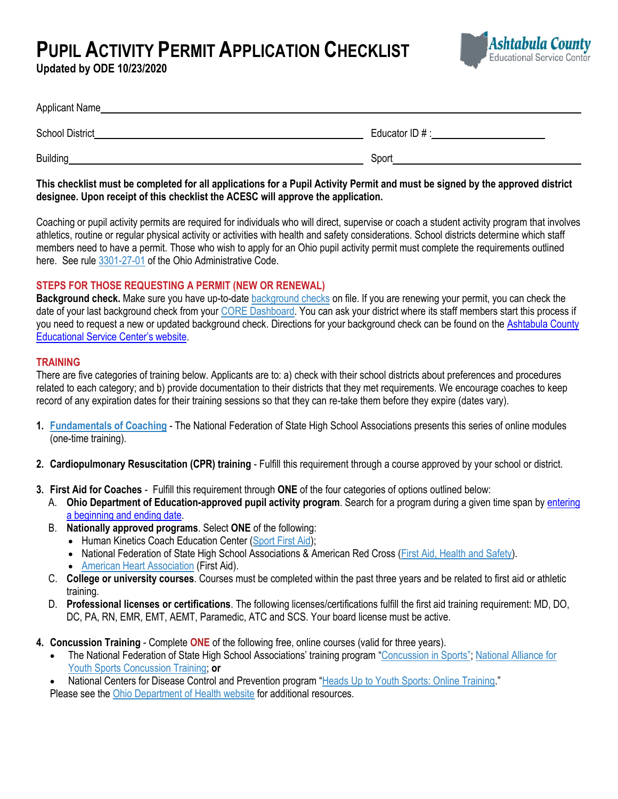**PUPIL ACTIVITY PERMIT APPLICATION CHECKLIST** 

**Updated by ODE 10/23/2020**



| Applicant Name         |                |
|------------------------|----------------|
| <b>School District</b> | Educator ID #: |
| <b>Building</b>        | Sport          |

**This checklist must be completed for all applications for a Pupil Activity Permit and must be signed by the approved district designee. Upon receipt of this checklist the ACESC will approve the application.**

Coaching or pupil activity permits are required for individuals who will direct, supervise or coach a student activity program that involves athletics, routine or regular physical activity or activities with health and safety considerations. School districts determine which staff members need to have a permit. Those who wish to apply for an Ohio pupil activity permit must complete the requirements outlined here. See rule [3301-27-01](http://codes.ohio.gov/oac/3301-27-01) of the Ohio Administrative Code.

## **STEPS FOR THOSE REQUESTING A PERMIT (NEW OR RENEWAL)**

Background check. Make sure you have up-to-date **[background checks](http://education.ohio.gov/Topics/Teaching/Licensure/Additional-Information/Background-Check-FAQs)** on file. If you are renewing your permit, you can check the date of your last background check from your [CORE Dashboard.](https://safe.ode.state.oh.us/portal) You can ask your district where its staff members start this process if you need to request a new or updated background check. Directions for your background check can be found on the Ashtabula County [Educational Service Center's website](http://www.ashtabulaesc.org/human-resources/background-checks/).

# **TRAINING**

There are five categories of training below. Applicants are to: a) check with their school districts about preferences and procedures related to each category; and b) provide documentation to their districts that they met requirements. We encourage coaches to keep record of any expiration dates for their training sessions so that they can re-take them before they expire (dates vary).

- **1. [Fundamentals of Coaching](http://nfhslearn.com/courses/61026)** The National Federation of State High School Associations presents this series of online modules (one-time training).
- **2. Cardiopulmonary Resuscitation (CPR) training** Fulfill this requirement through a course approved by your school or district.
- **3. First Aid for Coaches** Fulfill this requirement through **ONE** of the four categories of options outlined below:
	- A. **Ohio Department of Education-approved pupil activity program**. Search for a program during a given time span by [entering](https://core.ode.state.oh.us/CORE3/ODE.CORE.PPA.Public.UI/ProgramLookup)  [a beginning and ending date.](https://core.ode.state.oh.us/CORE3/ODE.CORE.PPA.Public.UI/ProgramLookup)
	- B. **Nationally approved programs**. Select **ONE** of the following:
		- Human Kinetics Coach Education Center [\(Sport First Aid\)](https://coacheducation.humankinetics.com/collections/45);
		- National Federation of State High School Associations & American Red Cross [\(First Aid, Health and Safety\)](http://nfhslearn.com/courses/26).
		- **[American Heart Association](https://www.heart.org/) (First Aid).**
	- C. **College or university courses**. Courses must be completed within the past three years and be related to first aid or athletic training.
	- D. **Professional licenses or certifications**. The following licenses/certifications fulfill the first aid training requirement: MD, DO, DC, PA, RN, EMR, EMT, AEMT, Paramedic, ATC and SCS. Your board license must be active.
- **4. Concussion Training** Complete **ONE** of the following free, online courses (valid for three years).
	- The National Federation of State High School Associations' training program ["Concussion in Sports"](http://nfhslearn.com/courses/38000); [National Alliance for](http://www.nays.org/nyscaonline/preview/concussion-training.cfm)  [Youth Sports Concussion Training;](http://www.nays.org/nyscaonline/preview/concussion-training.cfm) **or**

National Centers for Disease Control and Prevention program "Heads Up [to Youth Sports: Online Training](https://www.cdc.gov/headsup/youthsports/training/)."

Please see the [Ohio Department of Health website](https://odh.ohio.gov/wps/portal/gov/odh/know-our-programs/child-injury/youthconcussions/youthconcussions) for additional resources.